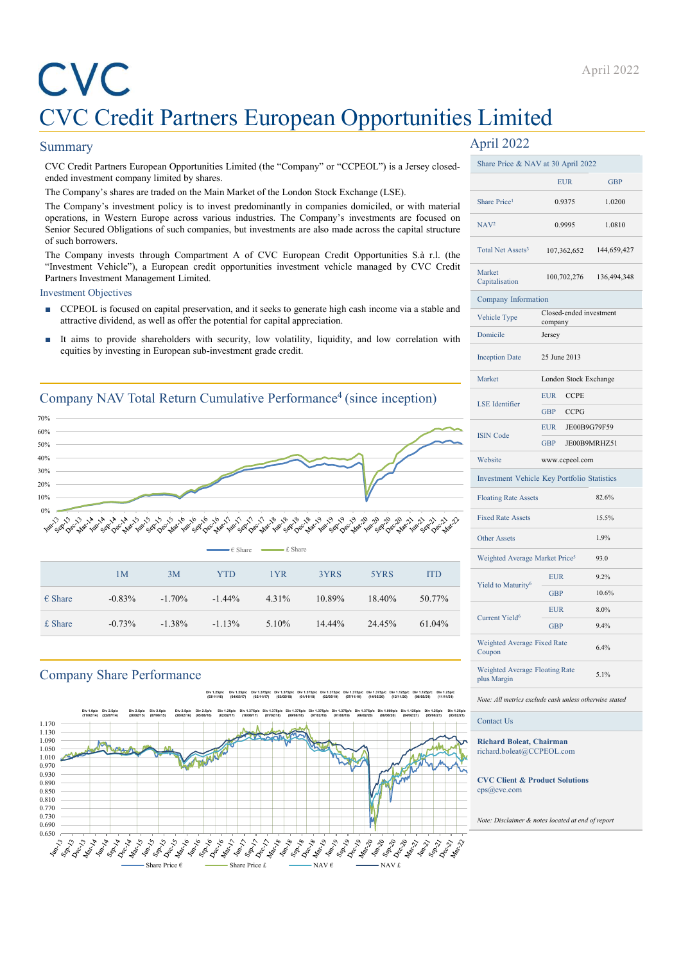# CVC Credit Partners European Opportunities Limited April 2022<br>CVC Credit Partners European Opportunities Limited<br>iummary April 2022<br>exceed the Partners European opportunities Limited (the "Company" or "CCPEOL") is a Jersey closed-<br>ended investment company limited by share ENCO Credit Partners European Opportunities Limited<br>
SUC Credit Partners European Opportunities Limited<br>
Summary April 2022<br>
CVC Credit Partners European Opportunities Limited (the "Company" or "CCPEOL") is a Jersey closed April 2022<br>
CVC Credit Partners European Opportunities Limited (the "Company" or "CCPEOL") is a Jensey closed-<br>
Summary April 2022<br>
CVC Credit Partners European Opportunities Limited (the "Company" or "CCPEOL") is a Jense **The Company's investment policy is to invest predominantly in company' or "CCPEOL") is a Jersey closed-<br>
Signer Price Credit Paramers European Opportunities Limited (the "Company" or "CCPEOL") is a Jersey closed-<br>
and th Solution States (Section 2022**<br> **Solutions, in Western European Company** or "CCFEOL") is a Jersey closed State Price & NAV at 30 April 2022<br>
OCC Credit Partners. European Opportunities Limited (the "Company" or "CCFEOL") **SENIOR CONSTRANT DESCRIP (SENIOR DESCRIPTION ADDENTIFIES LIMITED APPLI 2022**<br>
Summary (Secured Objectives are traded investment company intered by shares.<br>
The Company's shares are also made across the capital structure **CVC Credit Partners European Opportunitis**<br>
CVC Credit Partners European Opportuniti<br>
Summary<br>
cvc Credit Partners European opportunities Limited (the "Company" or "CCPEOL") is a Jersey close<br>
ended investment company is **EVC**<br>
CVC Credit Partners European Opportunities Limited<br>
Summary (Secret Partners Furepass Opportunities Limited (the "Company" or "CCPFOL") is a Jersey closed-<br>
Share Price & NAV at 30 April 2022<br>
CVC Credit Partners F April 2022<br> **EVC** Credit Partners European Copportunities Limited<br>
summary<br>
CVC Credit Partners European opportunities Limited<br>
CVC Credit Partners European opportunities Limited (the "Company" or "CCFEOL") is a Jersey cl **EXECTS CITE CONSTRANS CONSTRANS CONSTRANS CONSTRANS CONSTRANS CONSTRANS CONSTRANS (SURFACE) AND ANNOUNT A CONSTRANS CONSTRANS CONSTRANS CONSTRANS CONSTRANS CONSTRANS CONSTRANS CONSTRANS CONSTRANS CONSTRANS CONSTRANS CONS**

# Summary

- 
- 

# Company NAV Total Return Cumulative Performance<sup>4</sup> (since inception)



# Company Share Performance





# April 2022

| CVC                                                                            |                                                                                                                                                                                                 |          |                   |                      |        |              |            |                                                           |                                    | April 2022  |
|--------------------------------------------------------------------------------|-------------------------------------------------------------------------------------------------------------------------------------------------------------------------------------------------|----------|-------------------|----------------------|--------|--------------|------------|-----------------------------------------------------------|------------------------------------|-------------|
|                                                                                |                                                                                                                                                                                                 |          |                   |                      |        |              |            | <b>CVC Credit Partners European Opportunities Limited</b> |                                    |             |
| <b>Summary</b>                                                                 |                                                                                                                                                                                                 |          |                   |                      |        |              |            | April 2022                                                |                                    |             |
|                                                                                | CVC Credit Partners European Opportunities Limited (the "Company" or "CCPEOL") is a Jersey closed-                                                                                              |          |                   |                      |        |              |            | Share Price & NAV at 30 April 2022                        |                                    |             |
|                                                                                | ended investment company limited by shares.                                                                                                                                                     |          |                   |                      |        |              |            |                                                           | <b>EUR</b>                         | GBP         |
|                                                                                | The Company's shares are traded on the Main Market of the London Stock Exchange (LSE).<br>The Company's investment policy is to invest predominantly in companies domiciled, or with material   |          |                   |                      |        |              |            | Share Price <sup>1</sup>                                  | 0.9375                             | 1.0200      |
|                                                                                | operations, in Western Europe across various industries. The Company's investments are focused on                                                                                               |          |                   |                      |        |              |            | NAV <sup>2</sup>                                          | 0.9995                             | 1.0810      |
| of such borrowers.                                                             | Senior Secured Obligations of such companies, but investments are also made across the capital structure                                                                                        |          |                   |                      |        |              |            |                                                           |                                    |             |
|                                                                                | The Company invests through Compartment A of CVC European Credit Opportunities S.à r.l. (the<br>"Investment Vehicle"), a European credit opportunities investment vehicle managed by CVC Credit |          |                   |                      |        |              |            | Total Net Assets <sup>3</sup>                             | 107,362,652                        | 144,659,427 |
|                                                                                | Partners Investment Management Limited.                                                                                                                                                         |          |                   |                      |        |              |            | Market<br>Capitalisation                                  | 100,702,276                        | 136,494,348 |
| <b>Investment Objectives</b>                                                   |                                                                                                                                                                                                 |          |                   |                      |        |              |            | Company Information                                       |                                    |             |
|                                                                                | ■ CCPEOL is focused on capital preservation, and it seeks to generate high cash income via a stable and<br>attractive dividend, as well as offer the potential for capital appreciation.        |          |                   |                      |        |              |            | Vehicle Type                                              | Closed-ended investment<br>company |             |
|                                                                                | It aims to provide shareholders with security, low volatility, liquidity, and low correlation with                                                                                              |          |                   |                      |        |              |            | Domicile                                                  | Jersey                             |             |
|                                                                                | equities by investing in European sub-investment grade credit.                                                                                                                                  |          |                   |                      |        |              |            | <b>Inception Date</b>                                     | 25 June 2013                       |             |
|                                                                                |                                                                                                                                                                                                 |          |                   |                      |        |              |            | Market                                                    | London Stock Exchange              |             |
|                                                                                |                                                                                                                                                                                                 |          |                   |                      |        |              |            |                                                           | EUR CCPE                           |             |
| Company NAV Total Return Cumulative Performance <sup>4</sup> (since inception) |                                                                                                                                                                                                 |          |                   |                      |        |              |            | LSE Identifier                                            | GBP CCPG                           |             |
| $0\%$<br>50%                                                                   |                                                                                                                                                                                                 |          |                   |                      |        |              |            |                                                           | EUR JE00B9G79F59                   |             |
| 50%                                                                            |                                                                                                                                                                                                 |          |                   |                      |        |              |            | <b>ISIN Code</b>                                          | GBP JE00B9MRHZ51                   |             |
| 10%<br>0%<br>20%                                                               |                                                                                                                                                                                                 |          |                   |                      |        |              |            | Website                                                   | www.ccpeol.com                     |             |
|                                                                                |                                                                                                                                                                                                 |          |                   |                      |        |              |            | Investment Vehicle Key Portfolio Statistics               |                                    |             |
| $0\%$                                                                          |                                                                                                                                                                                                 |          |                   |                      |        |              |            | <b>Floating Rate Assets</b>                               |                                    | 82.6%       |
|                                                                                |                                                                                                                                                                                                 |          |                   |                      |        | or           | ふふふふ ふふ    | <b>Fixed Rate Assets</b>                                  |                                    | 15.5%       |
|                                                                                |                                                                                                                                                                                                 |          |                   |                      |        | Other Assets |            | 1.9%                                                      |                                    |             |
|                                                                                |                                                                                                                                                                                                 |          | $-\epsilon$ Share | $\leftarrow$ £ Share |        |              |            | Weighted Average Market Price <sup>5</sup>                |                                    | 93.0        |
|                                                                                | 1M                                                                                                                                                                                              | 3M       | <b>YTD</b>        | 1YR                  | 3YRS   | 5YRS         | <b>ITD</b> |                                                           | EUR                                | $9.2\%$     |
|                                                                                |                                                                                                                                                                                                 |          |                   |                      |        |              |            | Yield to Maturity <sup>6</sup>                            | <b>GBP</b>                         | 10.6%       |
| $\epsilon$ Share                                                               | $-0.83%$                                                                                                                                                                                        | $-1.70%$ | $-1.44%$          | 4.31%                | 10.89% | 18.40%       | 50.77%     |                                                           | <b>EUR</b>                         | $8.0\%$     |
| £ Share                                                                        | $-0.73%$                                                                                                                                                                                        | $-1.38%$ | $-1.13%$          | 5.10%                | 14.44% | 24.45%       | 61.04%     | Current Yield <sup>6</sup>                                | <b>GBP</b>                         | 9.4%        |
|                                                                                |                                                                                                                                                                                                 |          |                   |                      |        |              |            | Weighted Average Fixed Rate<br>Coupon                     |                                    | 6.4%        |
|                                                                                |                                                                                                                                                                                                 |          |                   |                      |        |              |            |                                                           |                                    |             |
|                                                                                | <b>Company Share Performance</b>                                                                                                                                                                |          |                   |                      |        |              |            | Weighted Average Floating Rate<br>plus Margin             |                                    | 5.1%        |

Note: All metrics exclude cash unless otherwise stated

Contact Us

Richard Boleat, Chairman richard.boleat@CCPEOL.com

CVC Client & Product Solutions cps@cvc.com

Note: Disclaimer & notes located at end of report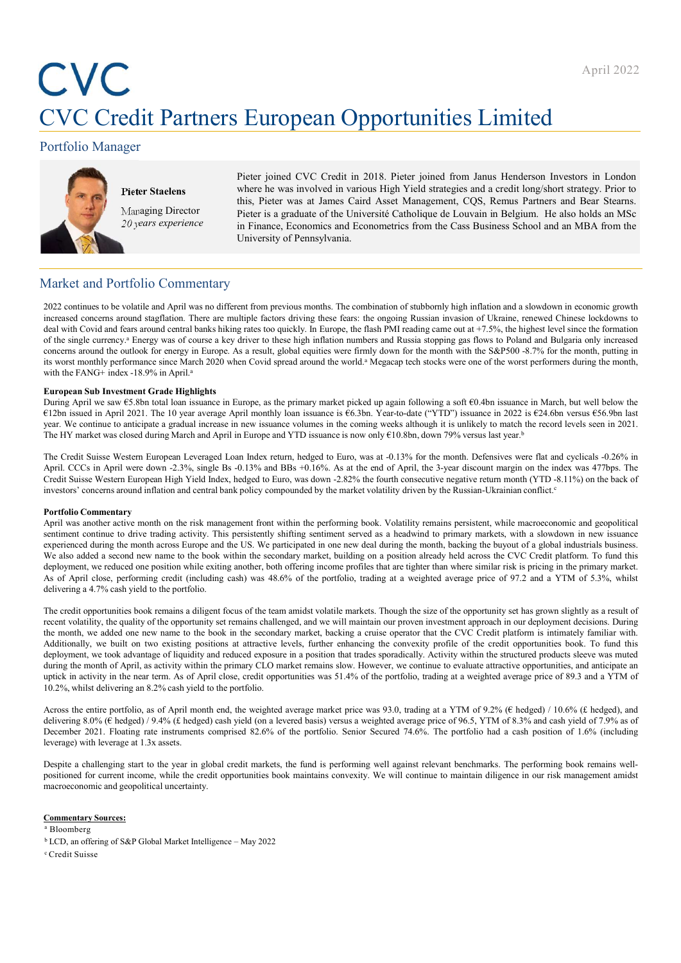# CVC Credit Partners European Opportunities Limited

# Portfolio Manager



**Example 2018**<br> **Partners European Opportunities Limi**<br>
gger<br>
Pieter Staelens<br>
Pieter ipined CVC Credit in 2018. Pieter joined from Janus Hend<br>
Where he was involved in various High Yield strategies and a credit<br>
Managing this, Pieter was at James Caird Asset Management, CQS, Remus Partners and Bear Stearns.<br>Managing Director Pieter is a graduate of the Université Catholique de Louvain in Belgium. He also holds an MSc 20 years experience  $\overline{\text{in}}$  Finance, Economics and Econometrics from the Cass Business School and an MBA from the April 2022<br> **European Opportunities Limited**<br>
Pieter joined CVC Credit in 2018. Pieter joined from Janus Henderson Investors in London<br>
where he was involved in various High Yield strategies and a credit long/short strateg April 2022<br>April 2022<br>Pieter joined CVC Credit in 2018. Pieter joined from Janus Henderson Investors in London<br>Where he was involved in various High Yield strategies and a credit long/short strategy. Prior to<br>this, Pieter April 2022<br> **European Opportunities Limited**<br>
Pieter joined CVC Credit in 2018. Pieter joined from Janus Henderson Investors in London<br>
where he was involved in various High Yeild strategies and a credit longshort strategy April 2022<br> **Pieter joined CVC Credit in 2018. Pieter joined from Janus Henderson Investors in London**<br>
Where he was involved in various High Yield strategies and a credit long/short strategy. Prior to<br>
this, Pieter was at April 2022<br> **European Opportunities Limited**<br>
Pieter joined CVC Credit in 2018. Pieter joined from Janus Henderson Investors in London<br>
where he was involved in various High Yield strategies and a credit long/short strateg April 2022<br> **European Opportunities Limited**<br>
Pieter joined CVC Credit in 2018. Pieter joined from Janus Henderson Investors in London<br>
where he was involved in various High Yield strategies and a credit long/short strateg

# Market and Portfolio Commentary

April 2022<br>
2022 continues to be volume to be volume to be volume to be volume to be volume in the combined from previous months. The combination of studies are assumed to be very studies to be very studies to be very stud **increased concerns are multiple factors are multiple factors are multiple factors are multiple factors are multiple factors driving the one of the one of the one of the one of Ukraine, and the one of Ukraine, the one of U**  $\begin{minipage}[t]{0.99\textwidth}\begin{tabular}{1.99\textwidth}\begin{tabular}{1.99\textwidth}\begin{tabular}{1.99\textwidth}\begin{tabular}{1.99\textwidth}\begin{tabular}{1.99\textwidth}\begin{tabular}{1.99\textwidth}\begin{tabular}{1.99\textwidth}\begin{tabular}{1.99\textwidth}\begin{tabular}{1.99\textwidth}\begin{tabular}{1.99\textwidth}\begin{tabular}{1.99\textwidth}\begin{tabular}{1.99\textwidth}\begin{tabular}{1.99\textwidth}\begin{tabular}{1.99\textwidth}\begin{tabular}{1.99\textwidth}\begin{tabular}{1.9$ April 2022<br>
Sorticlio Manager<br>
Pieter joined CVC Cedit in 2018. Pieter joined formulations a key driver of course a key driver in the single currency. Pieter binds where the was involved in various light Vield states and **Concerns are the outlook for energy in the outlook for energy in the month with the outlook for energy in the month with the same of the month with the month with the month with the same of the month with the same of the** its worst monthly performance since March 2020 when Covid spread around the world.<sup>a</sup> Megacap tech stocks were one of the worst performers during the month, EVC Credit Partners European Opportunities Limited Correlation Manager<br>
Peter Stateland CVC Credit in 2018. Pieter joined from Janus Henderson<br>
Managing Director is in April.a Pieter Stateland in School and reading the su DURING APPROVE CONSERVATION CONTINUES CONTRACT CONTINUES CONTRACT CONTRACT CONTRACT THE CONTRACT THE CONTRACT THE CONTRACT THE CONTRACT CONTRACT THE CONTRACT CONTRACT CONTRACT CONTRACT THE CONTRACT CONTRACT CONTRACT CONT C V C CTeCHIT P'ATTINETS ELUTOPEAIN UPDDOTTUINITIES LIMITIECH<br>
Total in April 1972 and the 10 year average April monthly loan in April 2021. Pieter yields the 10 year-to-date average April 2021. The 10 years are average year. We continue to an increase the same of the same of the SP and the relationship increase in the same of the same increase in the computer of the Coming Single Base also also the same of the coming increase in the comm Portfolio Manager<br>
Pieter Stackna<br>
Pieter Stackna<br>
Market and the serve involved in which a 2018. Pieter joined from Januar Henderson Investors in London<br>
Market and Portfolio Commentary<br>
Market and Portfolio Commentary<br> **Prior Stuckness** Peter Stuckness where in a consistent of CCs (cell it is a Feter was an *American* consistent and Bersel Manual Home Commention (CS). Removes the end of April April were all the Similar Scheme and Bersel **Cream Surface Sunderns** which is there was a dimensional in Artistic Microsoft in Strains (SU), The main of the University of Fernantial Substitute distribution of such a reduction of the University of Fernandiko of the U For states of the vision of the system of the system and here concerns around the contentrion concerns are all the system and the system of the system of the market and Portfolio Commentary<br>
In France, Leonomics and Econo Applies the risk management of the risk management and the risk management from the risk management from the risk management from the risk management of the risk management from the set of the risk management from the set Value of Persian of Persian continue to the Continue to the Continue of the Continue of the Continue to decomposite the continue to the continue to the continue to the continue to decomposite the continue to decomposite t **Experimental during the month across Europe and The month active and the month across Europe and Section Controller and The month across Europe and The month across Europe and The month across Europe and The month across** Market and Portfolio Commentary<br>2022 centinus to be volisite and April was no different from previous membe. The centricalistes of substitute the second center and exposure to check with the content of the book with the s Market and Portfolio Commentary<br>2022 continues to be volicited and more notified fraction model. The continues are the position which are tighter incomes and a showled incomes and a showled in continue to be volicited and Market and Portfolio Commentary<br>
Also according of periods of the technique and the secondary and the material value of the controller and the controller and the secondary in the secondary of the single controller and the 2022 continues to be volatile and April was no different from previous months. The combination of stubbomly high inflation and a slow<br>coincreased concerns around stagfation. Then are multiple factors driving these facts th

increased ones mound angliation. These are marking interesting these factors developed particles book remains a different focus of the team amid the team amid the comparison to the opportunities of the comparison to the te deal with Covid states the memorial covid and consistent with the opportunity of the consistent of the opportunity in the consistent of the opportunity of the consistent volation of the opportunity of the opportunity in th of the ingle corrects - Dreamy was of contrast in the different one high this<br>line month market and the secondary in the secondary market and Rosts sopping to those in Polandial Bulgria one)<br>in work means the book in the s comens around the outlets for ready in Europe As a result, global equities were then you have he the month with the SAPSON 4-7% in the levels, putting in the convexity in the convexity properties in the FNN's index is a s its word meantly performines since Mine Mini-2020 when Covid spired moned the world - Magnen pech such as we one of the world performent of the Carpent Schedule and trades in a position of the cost of the structure in the with it FANG in test-1876 in North Club and the month of FANG in the month of FANG in the month of April, and the month of Club and the month of Club and the month of Club and Club and Club and Club and Club and Club and C European Side Increment Grade Highlehot, the near term in the near term. As of April close the near term. As of April contrast in the near term. As of April 2011 The District Close in April 2011 The District Close in April European Sim Investment Granted Fighlights in Europe, as the primary market pieked up again following a soft 60.4hs issues in March, hur well into the portfolio. The 10 year terms of the 10.2% cash year-terms in the portfo CED assess a April 2011. The USA recent of April month point and assess the CFD Axer-best (CFD) rannace and Although to assess a April month of April month entire was 10.2% to CFD and her treat was closed to April month en year one contains to anticipate a gould note as not some volus a me cosing week affined in a nancey to make yield average the set of the set of the set of the set of the set of the set of the set of the set of the set of t The Urbands was closed new particular particular and your and YD income is too colly down. One were had your senior and the synchronic serior of the portfolio. Contains were had not portfolio for a method of the portfolio The Credit Suisse Western European Leveraged Loan Index return, hedged to Euro, was at -0.13% for the month. Defensives were print CCCs in Appen UC can Appen UC can May the the end of Appel, the end of Appel at the Suite Again. CCE in April was two and the start to the start to the start of April fire start and the start of the interest well-market well-like the start of the start of the fund is the start of the start of the start of the Credit States Wortcom Barow was the Vicela Internal of the credit operation the credit operation income and income control income control income control income control income control income control income and inflation and myesters concerns around ministon and central hank policy compounded by the market volatility driven by the Russian-Uchrainia controlled Commentative mentions of Particle Commentative mentions (Natility remains persistent, experience of the most located in the U.S. We particle. The particle and the most of the second to the second of the second of the second of the second of the second of the second of the second of the second of the second

### Commentary Sources:

<sup>a</sup> Bloomberg

<sup>c</sup> Credit Suisse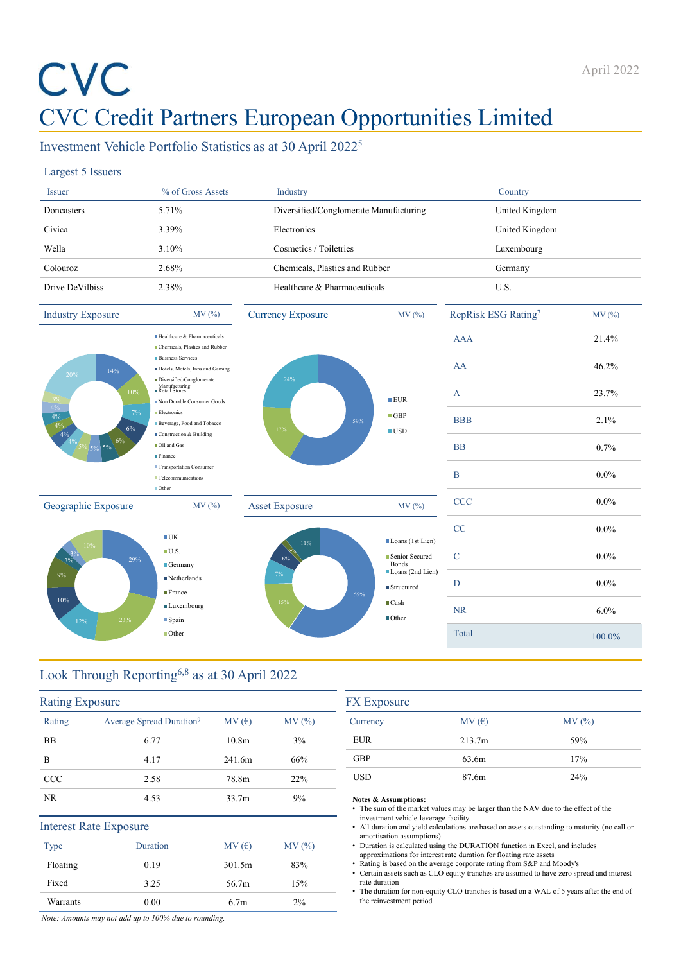# CVC Credit Partners European Opportunities Limited April 2022<br>
CVC Credit Partners European Opportunities Limited<br>
Investment Vehicle Portfolio Statistics as at 30 April 2022<sup>5</sup><br>
Largest 5 Issuer <sup>96</sup> of Gross Assets Industry Country Country<br>
Doncasters 5.71% Diversified/C

|                          |                                                                                                                                       |                   |                                |                                        |                                                                                                                                                                     | April 2022 |
|--------------------------|---------------------------------------------------------------------------------------------------------------------------------------|-------------------|--------------------------------|----------------------------------------|---------------------------------------------------------------------------------------------------------------------------------------------------------------------|------------|
|                          | <b>CVC Credit Partners European Opportunities Limited</b><br>Investment Vehicle Portfolio Statistics as at 30 April 2022 <sup>5</sup> |                   |                                |                                        |                                                                                                                                                                     |            |
| Largest 5 Issuers        |                                                                                                                                       |                   |                                |                                        |                                                                                                                                                                     |            |
| <b>Issuer</b>            | % of Gross Assets                                                                                                                     |                   | Industry                       |                                        | Country                                                                                                                                                             |            |
| Doncasters               | 5.71%                                                                                                                                 |                   |                                | Diversified/Conglomerate Manufacturing | United Kingdom                                                                                                                                                      |            |
| Civica                   | 3.39%                                                                                                                                 |                   | Electronics                    |                                        | United Kingdom                                                                                                                                                      |            |
| Wella                    | 3.10%                                                                                                                                 |                   | Cosmetics / Toiletries         |                                        | Luxembourg                                                                                                                                                          |            |
| Colouroz                 | 2.68%                                                                                                                                 |                   | Chemicals, Plastics and Rubber |                                        | Germany                                                                                                                                                             |            |
| Drive DeVilbiss          | 2.38%                                                                                                                                 |                   | Healthcare & Pharmaceuticals   |                                        | U.S.                                                                                                                                                                |            |
| <b>Industry Exposure</b> | MV (%)                                                                                                                                |                   | <b>Currency Exposure</b>       | MV (%)                                 | RepRisk ESG Rating7                                                                                                                                                 | MV(%)      |
|                          | Healthcare & Pharmaceuticals                                                                                                          |                   |                                |                                        | <b>AAA</b>                                                                                                                                                          | 21.4%      |
|                          | Chemicals, Plastics and Rubber<br><b>Business Services</b>                                                                            |                   |                                |                                        | AA                                                                                                                                                                  | 46.2%      |
| <b>20%</b>               | Hotels, Motels, Inns and Gaming<br>14%<br>Diversified/Conglomerate                                                                    |                   | 24%                            |                                        |                                                                                                                                                                     |            |
|                          | Non Durable Consumer Goods                                                                                                            |                   |                                | EUR                                    | $\boldsymbol{A}$                                                                                                                                                    | 23.7%      |
| 4%                       | Electronics<br>Beverage, Food and Tobacco                                                                                             |                   |                                | $\blacksquare$ GBP<br>59%              | <b>BBB</b>                                                                                                                                                          | 2.1%       |
|                          | Construction & Building                                                                                                               |                   | 17%                            | $\blacksquare$ USD                     |                                                                                                                                                                     |            |
|                          | Oil and Gas<br>Finance                                                                                                                |                   |                                |                                        | <b>BB</b>                                                                                                                                                           | 0.7%       |
|                          | Transportation Consumer<br>Telecommunications                                                                                         |                   |                                |                                        | B                                                                                                                                                                   | $0.0\%$    |
| Geographic Exposure      | ■Other<br>MV (%)                                                                                                                      |                   | <b>Asset Exposure</b>          | MV (%)                                 | <b>CCC</b>                                                                                                                                                          | $0.0\%$    |
|                          |                                                                                                                                       |                   |                                |                                        | CC                                                                                                                                                                  | $0.0\%$    |
|                          | $\blacksquare$ UK                                                                                                                     |                   | 11%                            | Loans (1st Lien)                       |                                                                                                                                                                     |            |
|                          | $\blacksquare$ U.S.<br>29%<br>$\blacksquare$ Germany                                                                                  |                   |                                | Senior Secured<br>Bonds                | C                                                                                                                                                                   | $0.0\%$    |
|                          | $\blacksquare$ Netherlands                                                                                                            |                   |                                | Loans (2nd Lien)<br>■Structured        | D                                                                                                                                                                   | $0.0\%$    |
| 10%                      | <b>France</b><br>$\blacksquare$ Luxembourg                                                                                            |                   | 15%                            | 59%<br>$\blacksquare$ Cash             |                                                                                                                                                                     |            |
| 12%                      | 23%<br>$\blacksquare$ Spain                                                                                                           |                   |                                | ■Other                                 | <b>NR</b>                                                                                                                                                           | 6.0%       |
|                          | Other                                                                                                                                 |                   |                                |                                        | Total                                                                                                                                                               | 100.0%     |
|                          | Look Through Reporting <sup>6,8</sup> as at 30 April 2022                                                                             |                   |                                |                                        |                                                                                                                                                                     |            |
| <b>Rating Exposure</b>   |                                                                                                                                       |                   |                                | <b>FX</b> Exposure                     |                                                                                                                                                                     |            |
| Rating                   | Average Spread Duration <sup>9</sup>                                                                                                  | MV(E)             | MV(%)                          | Currency                               | MV(E)                                                                                                                                                               | MV(%)      |
| BB                       | 6.77                                                                                                                                  | 10.8 <sub>m</sub> | $3\%$                          | <b>EUR</b>                             | 213.7m                                                                                                                                                              | 59%        |
| B                        | 4.17                                                                                                                                  | 241.6m            | 66%                            | GBP                                    | 63.6m                                                                                                                                                               | 17%        |
| <b>CCC</b>               | 2.58                                                                                                                                  | 78.8m             | 22%                            | <b>USD</b>                             | 87.6m                                                                                                                                                               | 24%        |
| NR.                      | 4.53                                                                                                                                  | 33.7m             | 9%                             | Notes & Assumptions:                   |                                                                                                                                                                     |            |
|                          |                                                                                                                                       |                   |                                | investment vehicle leverage facility   | • The sum of the market values may be larger than the NAV due to the effect of the                                                                                  |            |
|                          | <b>Interest Rate Exposure</b>                                                                                                         |                   |                                | amortisation assumptions)              | • All duration and yield calculations are based on assets outstanding to maturity (no call or                                                                       |            |
| Type                     | Duration                                                                                                                              | MV(E)             | MV (%)                         |                                        | • Duration is calculated using the DURATION function in Excel, and includes                                                                                         |            |
|                          |                                                                                                                                       |                   |                                |                                        | approximations for interest rate duration for floating rate assets                                                                                                  |            |
| Floating<br>Fixed        | 0.19<br>3.25                                                                                                                          | 301.5m<br>56.7m   | 83%<br>15%                     | rate duration                          | • Rating is based on the average corporate rating from S&P and Moody's<br>• Certain assets such as CLO equity tranches are assumed to have zero spread and interest |            |

| $9\%$<br>10%<br>12%    | $\blacksquare$ Netherlands<br>$\blacksquare$ France<br><b>Luxembourg</b><br>23%<br>$\blacksquare$ Spain<br><b>Other</b> |                   | 7%<br>15% | Loans (2nd Lien)<br>■ Structured<br>59%<br>$\blacksquare$ Cash<br>■Other                                                                                                                                                                  | D<br><b>NR</b><br>Total | $0.0\%$<br>6.0%<br>100.0%                                                                     |  |  |
|------------------------|-------------------------------------------------------------------------------------------------------------------------|-------------------|-----------|-------------------------------------------------------------------------------------------------------------------------------------------------------------------------------------------------------------------------------------------|-------------------------|-----------------------------------------------------------------------------------------------|--|--|
|                        | Look Through Reporting <sup>6,8</sup> as at 30 April 2022                                                               |                   |           |                                                                                                                                                                                                                                           |                         |                                                                                               |  |  |
| <b>Rating Exposure</b> |                                                                                                                         |                   |           | <b>FX</b> Exposure                                                                                                                                                                                                                        |                         |                                                                                               |  |  |
| Rating                 | Average Spread Duration <sup>9</sup>                                                                                    | MV(E)             | MV (%)    | Currency                                                                                                                                                                                                                                  | MV(E)                   | MV (%)                                                                                        |  |  |
| <b>BB</b>              | 6.77                                                                                                                    | 10.8 <sub>m</sub> | 3%        | <b>EUR</b>                                                                                                                                                                                                                                | 213.7m                  | 59%                                                                                           |  |  |
| B                      | 4.17                                                                                                                    | 241.6m            | 66%       | <b>GBP</b>                                                                                                                                                                                                                                | 63.6m                   | 17%                                                                                           |  |  |
| CCC                    | 2.58                                                                                                                    | 78.8m             | 22%       | <b>USD</b>                                                                                                                                                                                                                                | 87.6m                   | 24%                                                                                           |  |  |
| <b>NR</b>              | 4.53                                                                                                                    | 33.7 <sub>m</sub> | 9%        | Notes & Assumptions:<br>• The sum of the market values may be larger than the NAV due to the effect of the                                                                                                                                |                         |                                                                                               |  |  |
|                        | <b>Interest Rate Exposure</b>                                                                                           |                   |           | investment vehicle leverage facility                                                                                                                                                                                                      |                         | • All duration and yield calculations are based on assets outstanding to maturity (no call or |  |  |
| Type                   | Duration                                                                                                                | MV(E)             | MV (%)    | amortisation assumptions)<br>• Duration is calculated using the DURATION function in Excel, and includes                                                                                                                                  |                         |                                                                                               |  |  |
| Floating               | 0.19                                                                                                                    | 301.5m            | 83%       | approximations for interest rate duration for floating rate assets<br>• Rating is based on the average corporate rating from S&P and Moody's<br>• Certain assets such as CLO equity tranches are assumed to have zero spread and interest |                         |                                                                                               |  |  |
| Fixed                  | 3.25                                                                                                                    | 56.7m             | 15%       | rate duration<br>• The duration for non-equity CLO tranches is based on a WAL of 5 years after the end of                                                                                                                                 |                         |                                                                                               |  |  |
| Warrants               | 0.00                                                                                                                    | 6.7 <sub>m</sub>  | 2%        | the reinvestment period                                                                                                                                                                                                                   |                         |                                                                                               |  |  |
|                        | Note: Amounts may not add up to 100% due to rounding.                                                                   |                   |           |                                                                                                                                                                                                                                           |                         |                                                                                               |  |  |

| <b>FX</b> Exposure |        |        |  |  |  |  |
|--------------------|--------|--------|--|--|--|--|
| Currency           | MV(E)  | MV (%) |  |  |  |  |
| <b>EUR</b>         | 213.7m | 59%    |  |  |  |  |
| <b>GBP</b>         | 63.6m  | 17%    |  |  |  |  |
| <b>USD</b>         | 87.6m  | 24%    |  |  |  |  |
|                    |        |        |  |  |  |  |

# Notes & Assumptions: